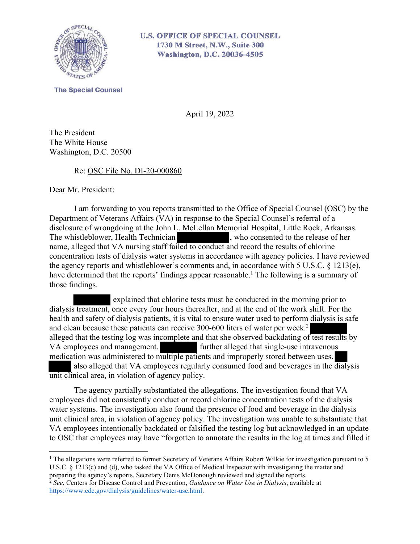

## **U.S. OFFICE OF SPECIAL COUNSEL** 1730 M Street, N.W., Suite 300 **Washington, D.C. 20036-4505**

**The Special Counsel** 

April 19, 2022

The President The White House Washington, D.C. 20500

## Re: OSC File No. DI-20-000860

Dear Mr. President:

I am forwarding to you reports transmitted to the Office of Special Counsel (OSC) by the Department of Veterans Affairs (VA) in response to the Special Counsel's referral of a disclosure of wrongdoing at the John L. McLellan Memorial Hospital, Little Rock, Arkansas. The whistleblower, Health Technician , who consented to the release of her name, alleged that VA nursing staff failed to conduct and record the results of chlorine concentration tests of dialysis water systems in accordance with agency policies. I have reviewed the agency reports and whistleblower's comments and, in accordance with 5 U.S.C. § 1213(e), have determined that the reports' findings appear reasonable.<sup>1</sup> The following is a summary of those findings.

 explained that chlorine tests must be conducted in the morning prior to dialysis treatment, once every four hours thereafter, and at the end of the work shift. For the health and safety of dialysis patients, it is vital to ensure water used to perform dialysis is safe and clean because these patients can receive 300-600 liters of water per week.<sup>2</sup> alleged that the testing log was incomplete and that she observed backdating of test results by VA employees and management. further alleged that single-use intravenous medication was administered to multiple patients and improperly stored between uses. also alleged that VA employees regularly consumed food and beverages in the dialysis unit clinical area, in violation of agency policy.

The agency partially substantiated the allegations. The investigation found that VA employees did not consistently conduct or record chlorine concentration tests of the dialysis water systems. The investigation also found the presence of food and beverage in the dialysis unit clinical area, in violation of agency policy. The investigation was unable to substantiate that VA employees intentionally backdated or falsified the testing log but acknowledged in an update to OSC that employees may have "forgotten to annotate the results in the log at times and filled it

<sup>&</sup>lt;sup>1</sup> The allegations were referred to former Secretary of Veterans Affairs Robert Wilkie for investigation pursuant to 5 U.S.C. § 1213(c) and (d), who tasked the VA Office of Medical Inspector with investigating the matter and preparing the agency's reports. Secretary Denis McDonough reviewed and signed the reports.

<sup>2</sup> *See*, Centers for Disease Control and Prevention, *Guidance on Water Use in Dialysis*, available at https://www.cdc.gov/dialysis/guidelines/water-use.html.